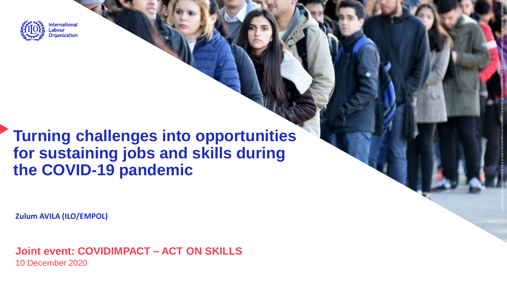

# **Turning challenges into opportunities for sustaining jobs and skills during the COVID -19 pandemic**

Source: Notimex

https://www.eleconomista.com.mx/empresas/IP-crece-su-inversion-en-maquinaria-subio-4.9-en-febrero-20180507-0019.html

**Zulum AVILA (ILO/EMPOL)**

**Joint event: COVIDIMPACT – ACT ON SKILLS** 10 December 2020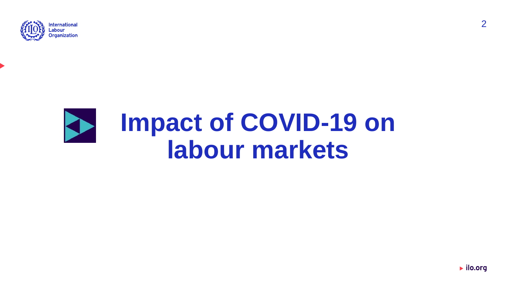

# **Impact of COVID-19 on SEP labour markets**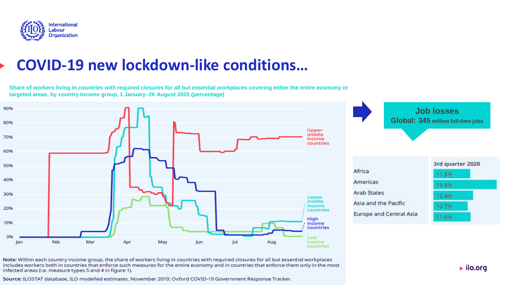

## **COVID-19 new lockdown-like conditions…**

**Share of workers living in countries with required closures for all but essential workplaces covering either the entire economy or targeted areas, by country income group, 1 January–26 August 2020 (percentage)**



Note: Within each country income group, the share of workers living in countries with required closures for all but essential workplaces includes workers both in countries that enforce such measures for the entire economy and in countries that enforce them only in the most infected areas (i.e. measure types 5 and 4 in figure 1).

Source: ILOSTAT database, ILO modelled estimates, November 2019; Oxford COVID-19 Government Response Tracker.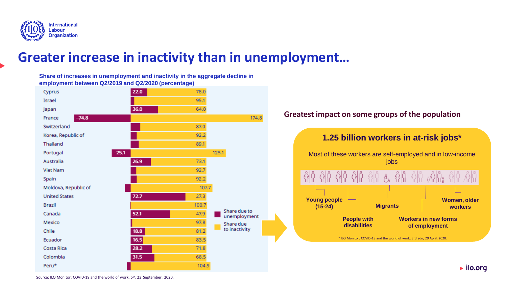

### **Greater increase in inactivity than in unemployment…**

**Share of increases in unemployment and inactivity in the aggregate decline in employment between Q2/2019 and Q2/2020 (percentage)**



#### **Greatest impact on some groups of the population**



 $\blacktriangleright$  ilo.org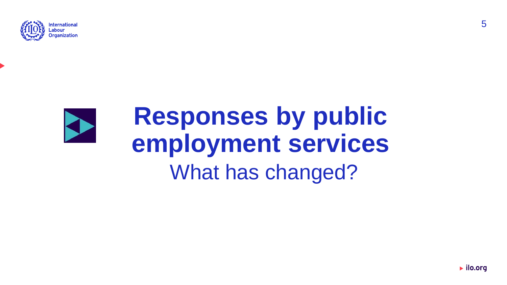



# **Responses by public employment services** What has changed?

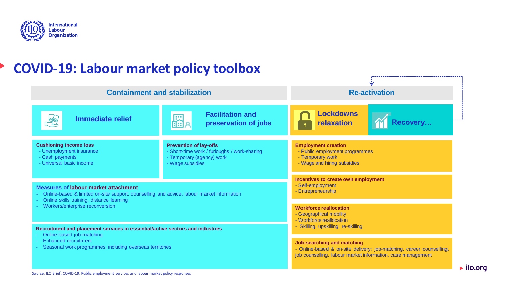

### **COVID-19: Labour market policy toolbox**

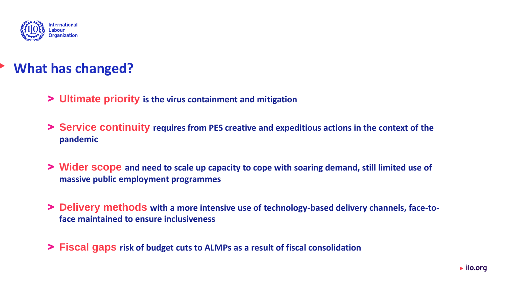

### **What has changed?**

- > **Ultimate priority is the virus containment and mitigation**
- > **Service continuity requires from PES creative and expeditious actions in the context of the pandemic**
- > **Wider scope and need to scale up capacity to cope with soaring demand, still limited use of massive public employment programmes**
- > **Delivery methods with a more intensive use of technology-based delivery channels, face-toface maintained to ensure inclusiveness**
- > **Fiscal gaps risk of budget cuts to ALMPs as a result of fiscal consolidation**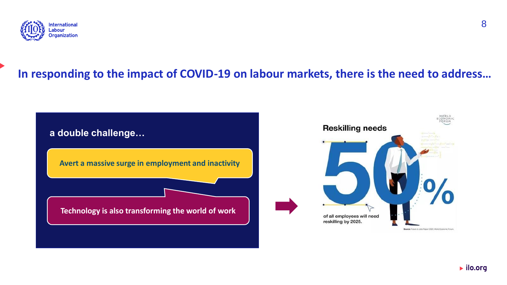

### **In responding to the impact of COVID-19 on labour markets, there is the need to address…**

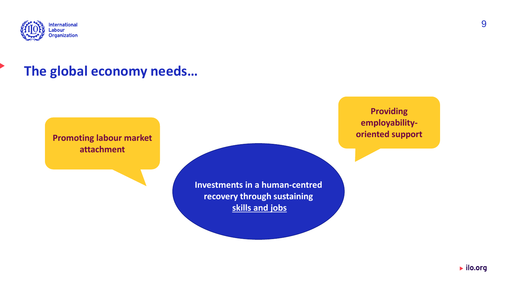

### **The global economy needs…**

**Promoting labour market attachment**

> **Investments in a human-centred recovery through sustaining skills and jobs**

**Providing employabilityoriented support**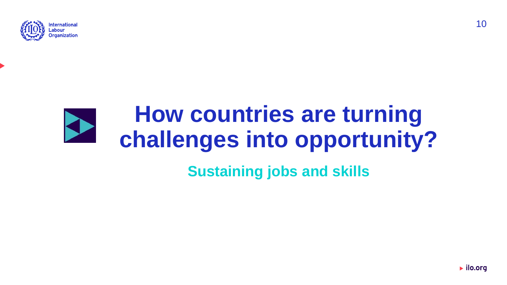

# **How countries are turning challenges into opportunity?**

## **Sustaining jobs and skills**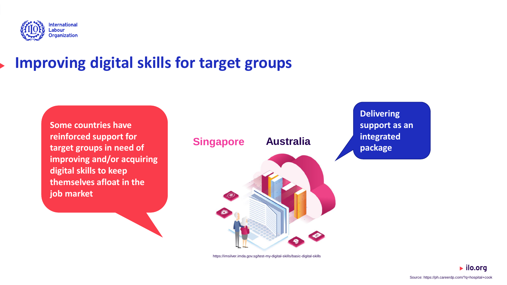

# **Improving digital skills for target groups**

**Some countries have reinforced support for target groups in need of improving and/or acquiring digital skills to keep themselves afloat in the job market**



https://imsilver.imda.gov.sg/test-my-digital-skills/basic-digital-skills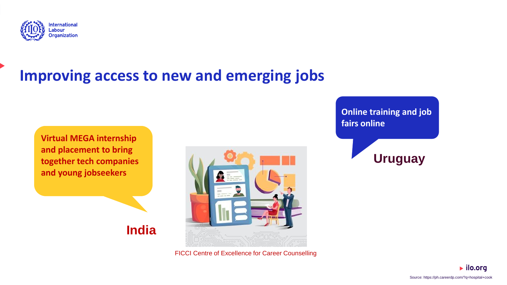

# **Improving access to new and emerging jobs**

**Virtual MEGA internship and placement to bring together tech companies and young jobseekers**

**India** 



FICCI Centre of Excellence for Career Counselling

**Online training and job fairs online**



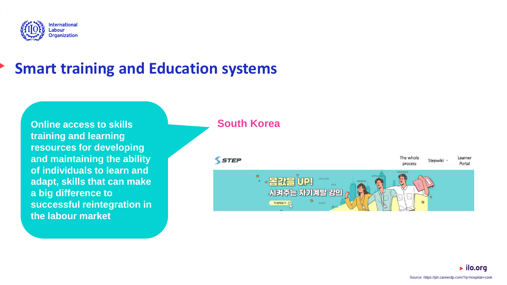

# **Smart training and Education systems**

**Online access to skills training and learning resources for developing and maintaining the ability of individuals to learn and adapt, skills that can make a big difference to successful reintegration in the labour market**

#### **South Korea**

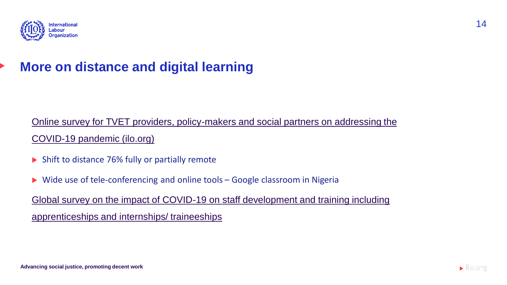

### **More on distance and digital learning**

### [Online survey for TVET providers, policy-makers and social partners on addressing the](https://www.ilo.org/skills/Whatsnew/WCMS_742817/lang--en/index.htm)  COVID-19 pandemic (ilo.org)

- ▶ Shift to distance 76% fully or partially remote
- Wide use of tele-conferencing and online tools Google classroom in Nigeria

[Global survey on the impact of COVID-19 on staff development and training including](https://www.ilo.org/skills/Whatsnew/WCMS_743243/lang--en/index.htm)  apprenticeships and internships/ traineeships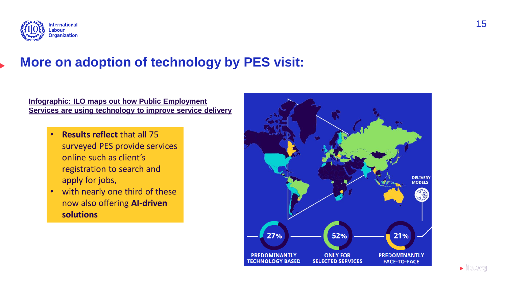

### **More on adoption of technology by PES visit:**

**Infographic: ILO maps out how Public Employment [Services are using technology to improve service delivery](https://www.ilo.org/emppolicy/pubs/WCMS_761924/lang--en/index.htm)**

- **Results reflect** that all 75 surveyed PES provide services online such as client's registration to search and apply for jobs,
- with nearly one third of these now also offering **AI-driven solutions**